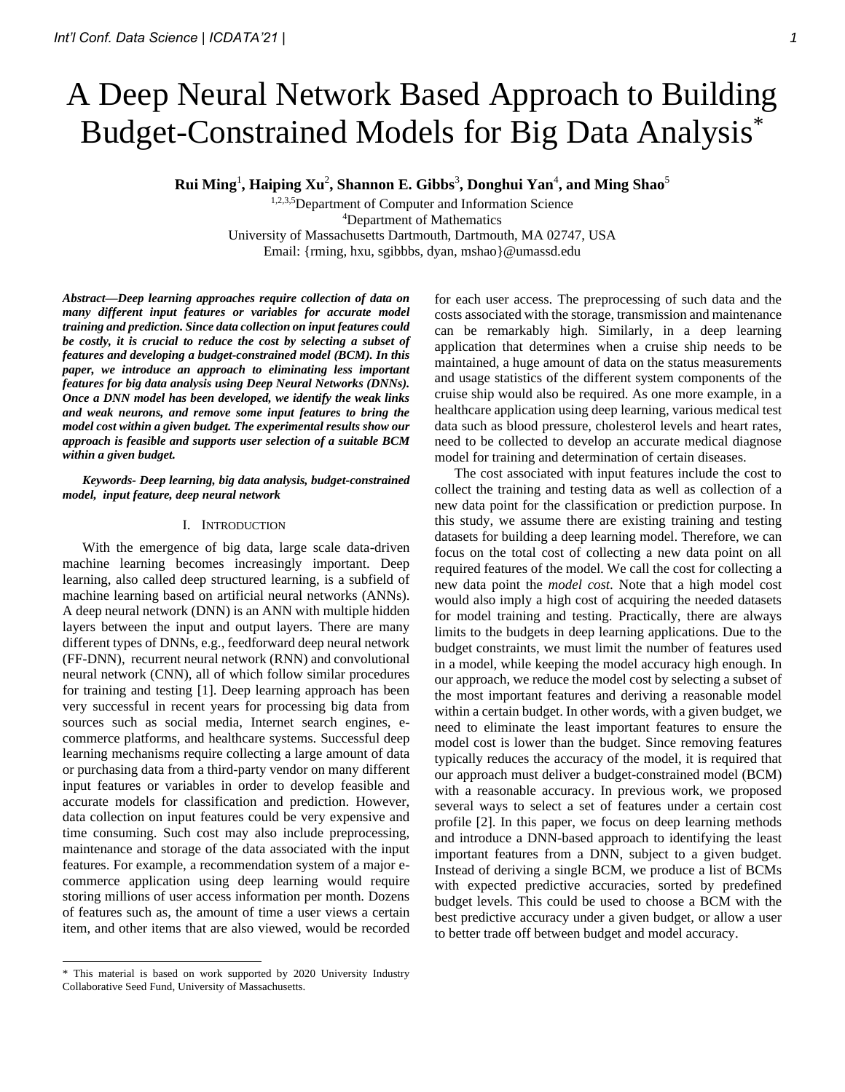# A Deep Neural Network Based Approach to Building Budget-Constrained Models for Big Data Analysis\*

**Rui Ming**<sup>1</sup> **, Haiping Xu**<sup>2</sup> **, Shannon E. Gibbs**<sup>3</sup> **, Donghui Yan**<sup>4</sup> **, and Ming Shao**<sup>5</sup>

1,2,3,5Department of Computer and Information Science <sup>4</sup>Department of Mathematics University of Massachusetts Dartmouth, Dartmouth, MA 02747, USA Email: {rming, hxu, sgibbbs, dyan, mshao}@umassd.edu

*Abstract***—***Deep learning approaches require collection of data on many different input features or variables for accurate model training and prediction. Since data collection on input features could be costly, it is crucial to reduce the cost by selecting a subset of features and developing a budget-constrained model (BCM). In this paper, we introduce an approach to eliminating less important features for big data analysis using Deep Neural Networks (DNNs). Once a DNN model has been developed, we identify the weak links and weak neurons, and remove some input features to bring the model cost within a given budget. The experimental results show our approach is feasible and supports user selection of a suitable BCM within a given budget.*

#### *Keywords- Deep learning, big data analysis, budget-constrained model, input feature, deep neural network*

#### I. INTRODUCTION

With the emergence of big data, large scale data-driven machine learning becomes increasingly important. Deep learning, also called deep structured learning, is a subfield of machine learning based on artificial neural networks (ANNs). A deep neural network (DNN) is an ANN with multiple hidden layers between the input and output layers. There are many different types of DNNs, e.g., feedforward deep neural network (FF-DNN), recurrent neural network (RNN) and convolutional neural network (CNN), all of which follow similar procedures for training and testing [1]. Deep learning approach has been very successful in recent years for processing big data from sources such as social media, Internet search engines, ecommerce platforms, and healthcare systems. Successful deep learning mechanisms require collecting a large amount of data or purchasing data from a third-party vendor on many different input features or variables in order to develop feasible and accurate models for classification and prediction. However, data collection on input features could be very expensive and time consuming. Such cost may also include preprocessing, maintenance and storage of the data associated with the input features. For example, a recommendation system of a major ecommerce application using deep learning would require storing millions of user access information per month. Dozens of features such as, the amount of time a user views a certain item, and other items that are also viewed, would be recorded

for each user access. The preprocessing of such data and the costs associated with the storage, transmission and maintenance can be remarkably high. Similarly, in a deep learning application that determines when a cruise ship needs to be maintained, a huge amount of data on the status measurements and usage statistics of the different system components of the cruise ship would also be required. As one more example, in a healthcare application using deep learning, various medical test data such as blood pressure, cholesterol levels and heart rates, need to be collected to develop an accurate medical diagnose model for training and determination of certain diseases.

The cost associated with input features include the cost to collect the training and testing data as well as collection of a new data point for the classification or prediction purpose. In this study, we assume there are existing training and testing datasets for building a deep learning model. Therefore, we can focus on the total cost of collecting a new data point on all required features of the model. We call the cost for collecting a new data point the *model cost*. Note that a high model cost would also imply a high cost of acquiring the needed datasets for model training and testing. Practically, there are always limits to the budgets in deep learning applications. Due to the budget constraints, we must limit the number of features used in a model, while keeping the model accuracy high enough. In our approach, we reduce the model cost by selecting a subset of the most important features and deriving a reasonable model within a certain budget. In other words, with a given budget, we need to eliminate the least important features to ensure the model cost is lower than the budget. Since removing features typically reduces the accuracy of the model, it is required that our approach must deliver a budget-constrained model (BCM) with a reasonable accuracy. In previous work, we proposed several ways to select a set of features under a certain cost profile [2]. In this paper, we focus on deep learning methods and introduce a DNN-based approach to identifying the least important features from a DNN, subject to a given budget. Instead of deriving a single BCM, we produce a list of BCMs with expected predictive accuracies, sorted by predefined budget levels. This could be used to choose a BCM with the best predictive accuracy under a given budget, or allow a user to better trade off between budget and model accuracy.

<sup>\*</sup> This material is based on work supported by 2020 University Industry Collaborative Seed Fund, University of Massachusetts.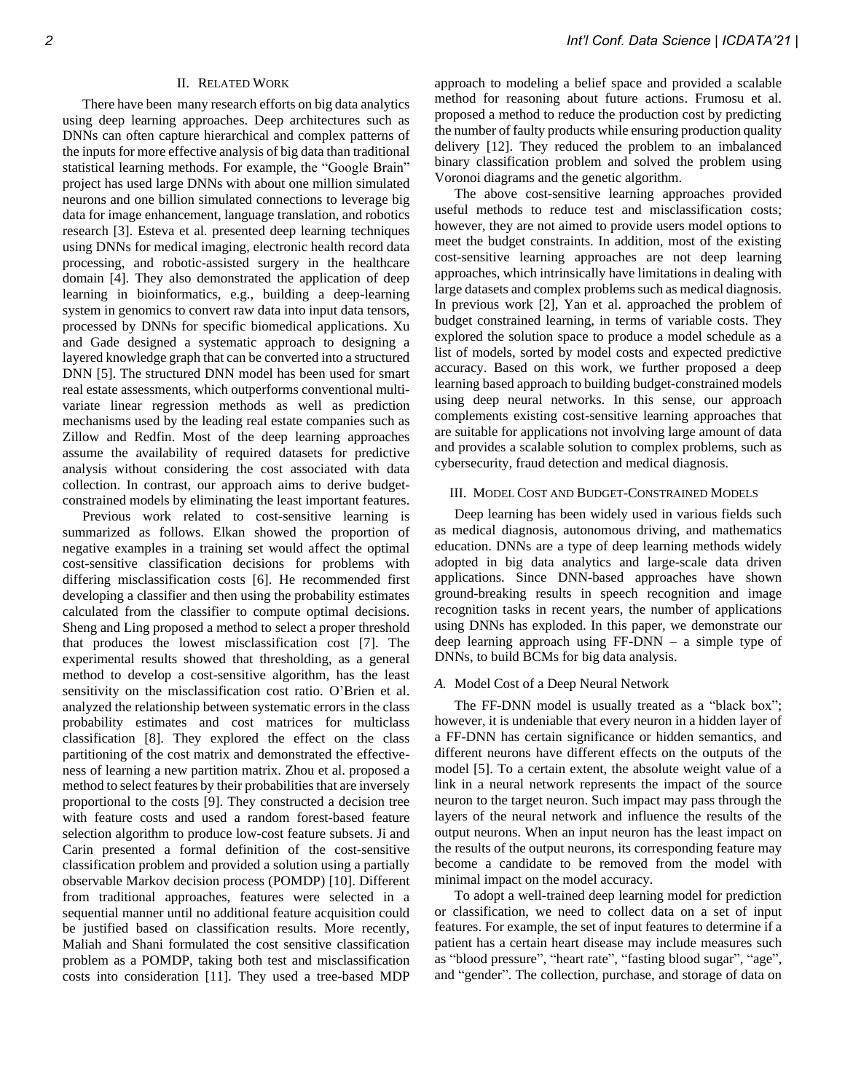## II. RELATED WORK

There have been many research efforts on big data analytics using deep learning approaches. Deep architectures such as DNNs can often capture hierarchical and complex patterns of the inputs for more effective analysis of big data than traditional statistical learning methods. For example, the "Google Brain" project has used large DNNs with about one million simulated neurons and one billion simulated connections to leverage big data for image enhancement, language translation, and robotics research [3]. Esteva et al. presented deep learning techniques using DNNs for medical imaging, electronic health record data processing, and robotic-assisted surgery in the healthcare domain [4]. They also demonstrated the application of deep learning in bioinformatics, e.g., building a deep-learning system in genomics to convert raw data into input data tensors, processed by DNNs for specific biomedical applications. Xu and Gade designed a systematic approach to designing a layered knowledge graph that can be converted into a structured DNN [5]. The structured DNN model has been used for smart real estate assessments, which outperforms conventional multivariate linear regression methods as well as prediction mechanisms used by the leading real estate companies such as Zillow and Redfin. Most of the deep learning approaches assume the availability of required datasets for predictive analysis without considering the cost associated with data collection. In contrast, our approach aims to derive budgetconstrained models by eliminating the least important features.

Previous work related to cost-sensitive learning is summarized as follows. Elkan showed the proportion of negative examples in a training set would affect the optimal cost-sensitive classification decisions for problems with differing misclassification costs [6]. He recommended first developing a classifier and then using the probability estimates calculated from the classifier to compute optimal decisions. Sheng and Ling proposed a method to select a proper threshold that produces the lowest misclassification cost [7]. The experimental results showed that thresholding, as a general method to develop a cost-sensitive algorithm, has the least sensitivity on the misclassification cost ratio. O'Brien et al. analyzed the relationship between systematic errors in the class probability estimates and cost matrices for multiclass classification [8]. They explored the effect on the class partitioning of the cost matrix and demonstrated the effectiveness of learning a new partition matrix. Zhou et al. proposed a method to select features by their probabilities that are inversely proportional to the costs [9]. They constructed a decision tree with feature costs and used a random forest-based feature selection algorithm to produce low-cost feature subsets. Ji and Carin presented a formal definition of the cost-sensitive classification problem and provided a solution using a partially observable Markov decision process (POMDP) [10]. Different from traditional approaches, features were selected in a sequential manner until no additional feature acquisition could be justified based on classification results. More recently, Maliah and Shani formulated the cost sensitive classification problem as a POMDP, taking both test and misclassification costs into consideration [11]. They used a tree-based MDP

approach to modeling a belief space and provided a scalable method for reasoning about future actions. Frumosu et al. proposed a method to reduce the production cost by predicting the number of faulty products while ensuring production quality delivery [12]. They reduced the problem to an imbalanced binary classification problem and solved the problem using Voronoi diagrams and the genetic algorithm.

The above cost-sensitive learning approaches provided useful methods to reduce test and misclassification costs; however, they are not aimed to provide users model options to meet the budget constraints. In addition, most of the existing cost-sensitive learning approaches are not deep learning approaches, which intrinsically have limitations in dealing with large datasets and complex problems such as medical diagnosis. In previous work [2], Yan et al. approached the problem of budget constrained learning, in terms of variable costs. They explored the solution space to produce a model schedule as a list of models, sorted by model costs and expected predictive accuracy. Based on this work, we further proposed a deep learning based approach to building budget-constrained models using deep neural networks. In this sense, our approach complements existing cost-sensitive learning approaches that are suitable for applications not involving large amount of data and provides a scalable solution to complex problems, such as cybersecurity, fraud detection and medical diagnosis.

## III. MODEL COST AND BUDGET-CONSTRAINED MODELS

Deep learning has been widely used in various fields such as medical diagnosis, autonomous driving, and mathematics education. DNNs are a type of deep learning methods widely adopted in big data analytics and large-scale data driven applications. Since DNN-based approaches have shown ground-breaking results in speech recognition and image recognition tasks in recent years, the number of applications using DNNs has exploded. In this paper, we demonstrate our deep learning approach using FF-DNN – a simple type of DNNs, to build BCMs for big data analysis.

## *A.* Model Cost of a Deep Neural Network

The FF-DNN model is usually treated as a "black box"; however, it is undeniable that every neuron in a hidden layer of a FF-DNN has certain significance or hidden semantics, and different neurons have different effects on the outputs of the model [5]. To a certain extent, the absolute weight value of a link in a neural network represents the impact of the source neuron to the target neuron. Such impact may pass through the layers of the neural network and influence the results of the output neurons. When an input neuron has the least impact on the results of the output neurons, its corresponding feature may become a candidate to be removed from the model with minimal impact on the model accuracy.

To adopt a well-trained deep learning model for prediction or classification, we need to collect data on a set of input features. For example, the set of input features to determine if a patient has a certain heart disease may include measures such as "blood pressure", "heart rate", "fasting blood sugar", "age", and "gender". The collection, purchase, and storage of data on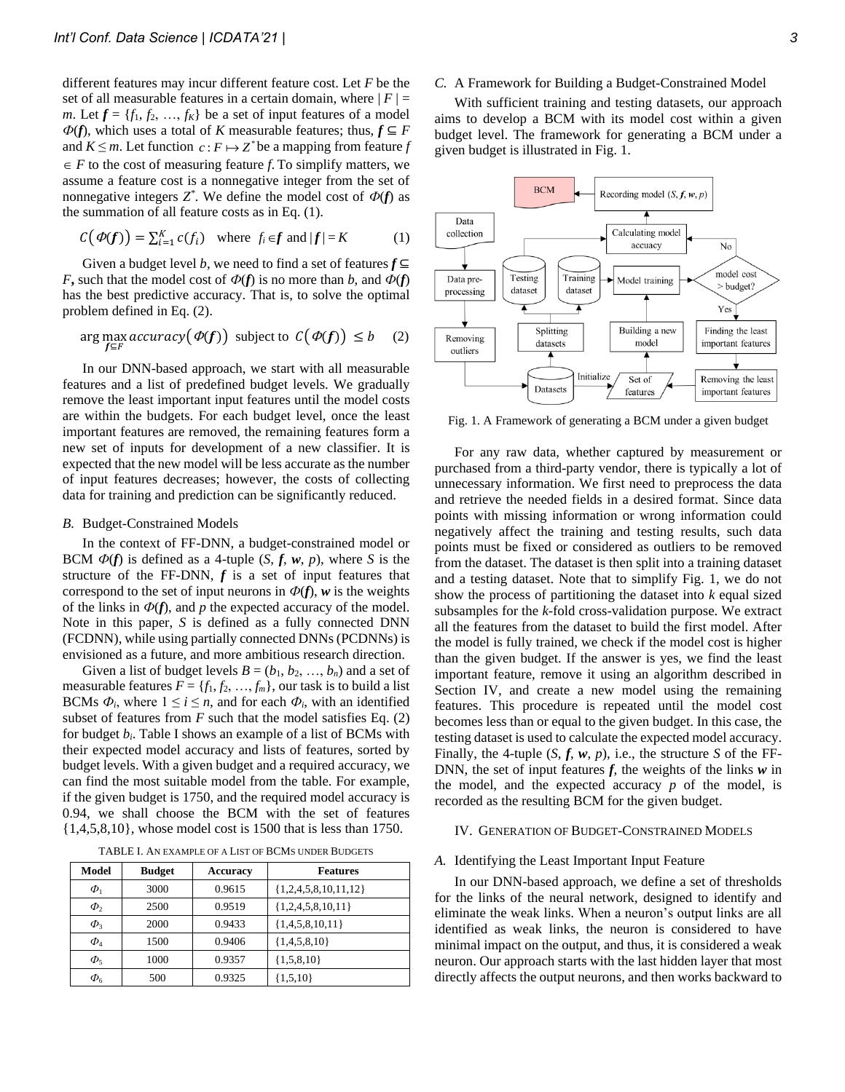different features may incur different feature cost. Let *F* be the set of all measurable features in a certain domain, where  $|F|$  = *m*. Let  $f = \{f_1, f_2, ..., f_K\}$  be a set of input features of a model  $Φ$ (*f*), which uses a total of *K* measurable features; thus, *f* ⊆ *F* and  $K \leq m$ . Let function  $c: F \mapsto Z^*$  be a mapping from feature *f*  $\in$  *F* to the cost of measuring feature *f*. To simplify matters, we assume a feature cost is a nonnegative integer from the set of nonnegative integers  $Z^*$ . We define the model cost of  $\Phi(f)$  as the summation of all feature costs as in Eq. (1).

$$
C(\varPhi(f)) = \sum_{i=1}^{K} c(f_i) \quad \text{where } f_i \in f \text{ and } |f| = K \tag{1}
$$

Given a budget level *b*, we need to find a set of features  $f \subseteq$ *F***,** such that the model cost of  $\Phi(f)$  is no more than *b*, and  $\Phi(f)$ has the best predictive accuracy. That is, to solve the optimal problem defined in Eq. (2).

$$
\arg \max_{f \subseteq F} \text{accuracy}(\varPhi(f)) \text{ subject to } C(\varPhi(f)) \leq b \quad (2)
$$

In our DNN-based approach, we start with all measurable features and a list of predefined budget levels. We gradually remove the least important input features until the model costs are within the budgets. For each budget level, once the least important features are removed, the remaining features form a new set of inputs for development of a new classifier. It is expected that the new model will be less accurate as the number of input features decreases; however, the costs of collecting data for training and prediction can be significantly reduced.

## *B.* Budget-Constrained Models

In the context of FF-DNN, a budget-constrained model or BCM  $\Phi(f)$  is defined as a 4-tuple  $(S, f, w, p)$ , where *S* is the structure of the FF-DNN,  $f$  is a set of input features that correspond to the set of input neurons in  $\Phi(f)$ , w is the weights of the links in  $\Phi(f)$ , and *p* the expected accuracy of the model. Note in this paper, *S* is defined as a fully connected DNN (FCDNN), while using partially connected DNNs (PCDNNs) is envisioned as a future, and more ambitious research direction.

Given a list of budget levels  $B = (b_1, b_2, ..., b_n)$  and a set of measurable features  $F = \{f_1, f_2, \ldots, f_m\}$ , our task is to build a list BCMs  $\Phi_i$ , where  $1 \leq i \leq n$ , and for each  $\Phi_i$ , with an identified subset of features from  $F$  such that the model satisfies Eq.  $(2)$ for budget *bi*. Table I shows an example of a list of BCMs with their expected model accuracy and lists of features, sorted by budget levels. With a given budget and a required accuracy, we can find the most suitable model from the table. For example, if the given budget is 1750, and the required model accuracy is 0.94, we shall choose the BCM with the set of features {1,4,5,8,10}, whose model cost is 1500 that is less than 1750.

TABLE I. AN EXAMPLE OF A LIST OF BCMS UNDER BUDGETS

| Model       | <b>Budget</b> | Accuracy | <b>Features</b>          |
|-------------|---------------|----------|--------------------------|
| $\Phi_1$    | 3000          | 0.9615   | $\{1,2,4,5,8,10,11,12\}$ |
| $\Phi_{2}$  | 2500          | 0.9519   | ${1,2,4,5,8,10,11}$      |
| $\Phi_3$    | 2000          | 0.9433   | ${1,4,5,8,10,11}$        |
| $\varPhi_4$ | 1500          | 0.9406   | ${1,4,5,8,10}$           |
| $\Phi_5$    | 1000          | 0.9357   | ${1,5,8,10}$             |
| $\Phi_{6}$  | 500           | 0.9325   | ${1,5,10}$               |

## *C.* A Framework for Building a Budget-Constrained Model

With sufficient training and testing datasets, our approach aims to develop a BCM with its model cost within a given budget level. The framework for generating a BCM under a given budget is illustrated in Fig. 1.



Fig. 1. A Framework of generating a BCM under a given budget

For any raw data, whether captured by measurement or purchased from a third-party vendor, there is typically a lot of unnecessary information. We first need to preprocess the data and retrieve the needed fields in a desired format. Since data points with missing information or wrong information could negatively affect the training and testing results, such data points must be fixed or considered as outliers to be removed from the dataset. The dataset is then split into a training dataset and a testing dataset. Note that to simplify Fig. 1, we do not show the process of partitioning the dataset into *k* equal sized subsamples for the *k*-fold cross-validation purpose. We extract all the features from the dataset to build the first model. After the model is fully trained, we check if the model cost is higher than the given budget. If the answer is yes, we find the least important feature, remove it using an algorithm described in Section IV, and create a new model using the remaining features. This procedure is repeated until the model cost becomes less than or equal to the given budget. In this case, the testing dataset is used to calculate the expected model accuracy. Finally, the 4-tuple  $(S, f, w, p)$ , i.e., the structure *S* of the FF-DNN, the set of input features *f*, the weights of the links *w* in the model, and the expected accuracy *p* of the model, is recorded as the resulting BCM for the given budget.

#### IV. GENERATION OF BUDGET-CONSTRAINED MODELS

#### *A.* Identifying the Least Important Input Feature

In our DNN-based approach, we define a set of thresholds for the links of the neural network, designed to identify and eliminate the weak links. When a neuron's output links are all identified as weak links, the neuron is considered to have minimal impact on the output, and thus, it is considered a weak neuron. Our approach starts with the last hidden layer that most directly affects the output neurons, and then works backward to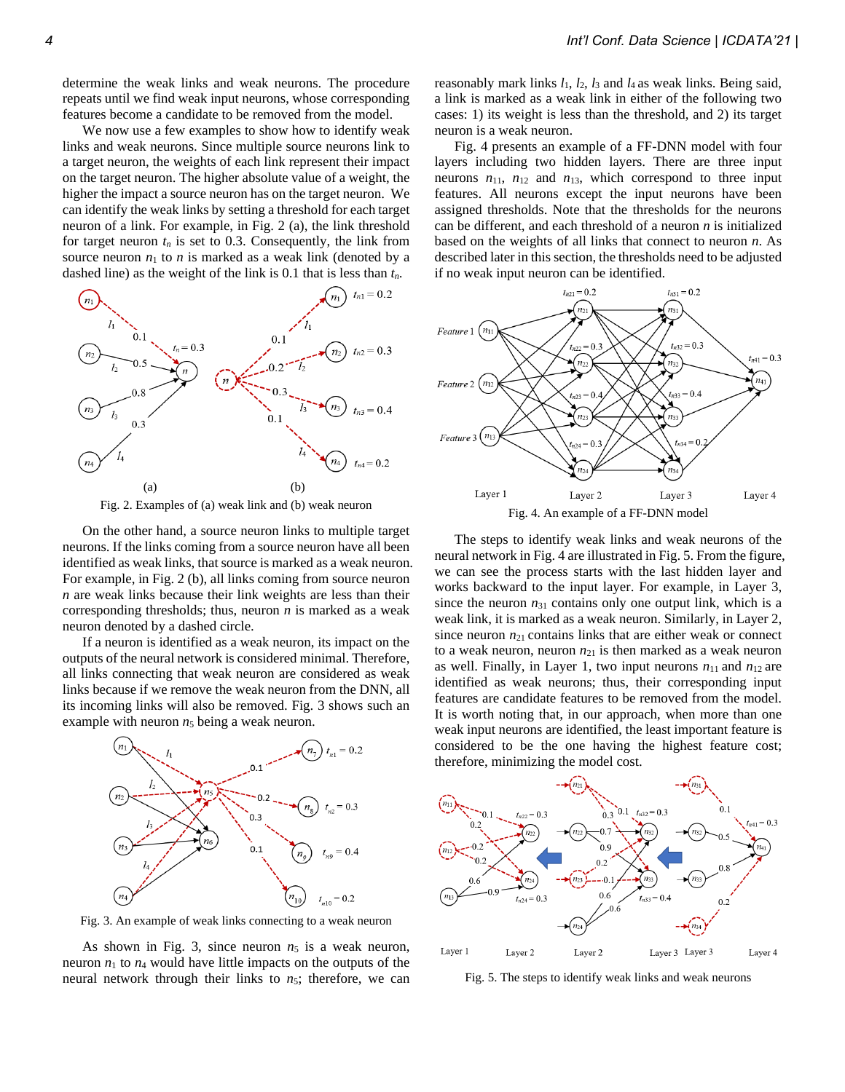determine the weak links and weak neurons. The procedure repeats until we find weak input neurons, whose corresponding features become a candidate to be removed from the model.

We now use a few examples to show how to identify weak links and weak neurons. Since multiple source neurons link to a target neuron, the weights of each link represent their impact on the target neuron. The higher absolute value of a weight, the higher the impact a source neuron has on the target neuron. We can identify the weak links by setting a threshold for each target neuron of a link. For example, in Fig. 2 (a), the link threshold for target neuron  $t_n$  is set to 0.3. Consequently, the link from source neuron  $n_1$  to  $n$  is marked as a weak link (denoted by a dashed line) as the weight of the link is 0.1 that is less than *tn*.



Fig. 2. Examples of (a) weak link and (b) weak neuron

On the other hand, a source neuron links to multiple target neurons. If the links coming from a source neuron have all been identified as weak links, that source is marked as a weak neuron. For example, in Fig. 2 (b), all links coming from source neuron *n* are weak links because their link weights are less than their corresponding thresholds; thus, neuron *n* is marked as a weak neuron denoted by a dashed circle.

If a neuron is identified as a weak neuron, its impact on the outputs of the neural network is considered minimal. Therefore, all links connecting that weak neuron are considered as weak links because if we remove the weak neuron from the DNN, all its incoming links will also be removed. Fig. 3 shows such an example with neuron  $n<sub>5</sub>$  being a weak neuron.



Fig. 3. An example of weak links connecting to a weak neuron

As shown in Fig. 3, since neuron  $n_5$  is a weak neuron, neuron  $n_1$  to  $n_4$  would have little impacts on the outputs of the neural network through their links to  $n_5$ ; therefore, we can reasonably mark links  $l_1$ ,  $l_2$ ,  $l_3$  and  $l_4$  as weak links. Being said, a link is marked as a weak link in either of the following two cases: 1) its weight is less than the threshold, and 2) its target neuron is a weak neuron.

Fig. 4 presents an example of a FF-DNN model with four layers including two hidden layers. There are three input neurons  $n_{11}$ ,  $n_{12}$  and  $n_{13}$ , which correspond to three input features. All neurons except the input neurons have been assigned thresholds. Note that the thresholds for the neurons can be different, and each threshold of a neuron *n* is initialized based on the weights of all links that connect to neuron *n*. As described later in this section, the thresholds need to be adjusted if no weak input neuron can be identified.



The steps to identify weak links and weak neurons of the neural network in Fig. 4 are illustrated in Fig. 5. From the figure, we can see the process starts with the last hidden layer and works backward to the input layer. For example, in Layer 3, since the neuron  $n_{31}$  contains only one output link, which is a weak link, it is marked as a weak neuron. Similarly, in Layer 2, since neuron  $n_{21}$  contains links that are either weak or connect to a weak neuron, neuron  $n_{21}$  is then marked as a weak neuron as well. Finally, in Layer 1, two input neurons  $n_{11}$  and  $n_{12}$  are identified as weak neurons; thus, their corresponding input features are candidate features to be removed from the model. It is worth noting that, in our approach, when more than one weak input neurons are identified, the least important feature is considered to be the one having the highest feature cost; therefore, minimizing the model cost.



Fig. 5. The steps to identify weak links and weak neurons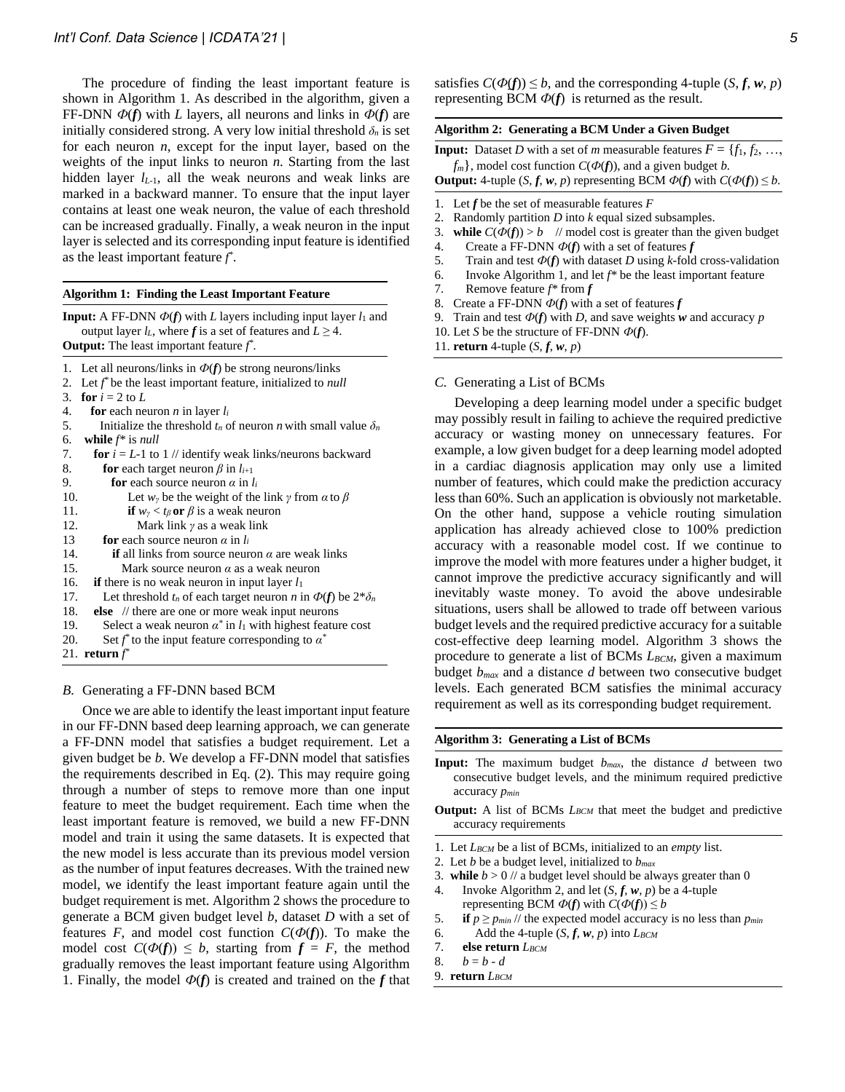The procedure of finding the least important feature is shown in Algorithm 1. As described in the algorithm, given a FF-DNN  $\Phi(f)$  with *L* layers, all neurons and links in  $\Phi(f)$  are initially considered strong. A very low initial threshold  $\delta_n$  is set for each neuron *n*, except for the input layer, based on the weights of the input links to neuron *n*. Starting from the last hidden layer  $l_{L-1}$ , all the weak neurons and weak links are marked in a backward manner. To ensure that the input layer contains at least one weak neuron, the value of each threshold can be increased gradually. Finally, a weak neuron in the input layer is selected and its corresponding input feature is identified as the least important feature *f \** .

#### **Algorithm 1: Finding the Least Important Feature**

**Input:** A FF-DNN  $\Phi(f)$  with *L* layers including input layer  $l_1$  and output layer  $l_L$ , where  $f$  is a set of features and  $L \geq 4$ . **Output:** The least important feature *f \* .*

- 1. Let all neurons/links in  $\Phi(f)$  be strong neurons/links
- 2. Let *f \** be the least important feature, initialized to *null*
- 3. **for**  $i = 2$  to  $L$
- 4. **for** each neuron *n* in layer  $l_i$
- 5. Initialize the threshold  $t_n$  of neuron *n* with small value  $\delta_n$ 6. **while** *f\** is *null*
- 7. **for**  $i = L$ -1 to 1 // identify weak links/neurons backward
- 8. **for** each target neuron  $\beta$  in  $l_{i+1}$ 9. **for** each source neuron  $\alpha$  in  $l_i$ 10. Let  $w_\gamma$  be the weight of the link  $\gamma$  from  $\alpha$  to  $\beta$ 11. **if**  $w_\gamma < t_\beta$  or  $\beta$  is a weak neuron 12. Mark link *γ* as a weak link
- 13 **for** each source neuron  $\alpha$  in  $l_i$
- 14. **if** all links from source neuron *α* are weak links
- 15. Mark source neuron *α* as a weak neuron
- 16. **if** there is no weak neuron in input layer *l*<sup>1</sup>
- 17. Let threshold  $t_n$  of each target neuron *n* in  $\Phi(f)$  be  $2*\delta_n$
- 18. **else** // there are one or more weak input neurons
- 19. Select a weak neuron  $\alpha^*$  in  $l_1$  with highest feature cost
- 20. Set  $f^*$  to the input feature corresponding to  $\alpha^*$
- 21. **return** *f \**

### *B.* Generating a FF-DNN based BCM

Once we are able to identify the least important input feature in our FF-DNN based deep learning approach, we can generate a FF-DNN model that satisfies a budget requirement. Let a given budget be *b*. We develop a FF-DNN model that satisfies the requirements described in Eq. (2). This may require going through a number of steps to remove more than one input feature to meet the budget requirement. Each time when the least important feature is removed, we build a new FF-DNN model and train it using the same datasets. It is expected that the new model is less accurate than its previous model version as the number of input features decreases. With the trained new model, we identify the least important feature again until the budget requirement is met. Algorithm 2 shows the procedure to generate a BCM given budget level *b*, dataset *D* with a set of features *F*, and model cost function  $C(\Phi(f))$ . To make the model cost  $C(\Phi(f)) \leq b$ , starting from  $f = F$ , the method gradually removes the least important feature using Algorithm 1. Finally, the model  $\Phi(f)$  is created and trained on the *f* that

satisfies  $C(\Phi(f)) \leq b$ , and the corresponding 4-tuple  $(S, f, w, p)$ representing BCM  $\Phi(f)$  is returned as the result.

## **Algorithm 2: Generating a BCM Under a Given Budget**

**Input:** Dataset *D* with a set of *m* measurable features  $F = \{f_1, f_2, \ldots, f_m\}$  $f_m$ , model cost function  $C(\Phi(f))$ , and a given budget *b*.

**Output:** 4-tuple  $(S, f, w, p)$  representing BCM  $\Phi(f)$  with  $C(\Phi(f)) \leq b$ .

- 1. Let *f* be the set of measurable features *F*
- 2. Randomly partition *D* into *k* equal sized subsamples.
- 3. **while**  $C(\Phi(f)) > b$  // model cost is greater than the given budget
- 4. Create a FF-DNN *Ф*(*f*) with a set of features *f*
- 5. Train and test *Ф*(*f*) with dataset *D* using *k*-fold cross-validation
- 6. Invoke Algorithm 1, and let *f\** be the least important feature
- 7. Remove feature *f\** from *f*
- 8. Create a FF-DNN *Ф*(*f*) with a set of features *f*
- 9. Train and test  $\Phi(f)$  with *D*, and save weights *w* and accuracy *p*
- 10. Let *S* be the structure of FF-DNN *Ф*(*f*).
- 11. **return** 4-tuple  $(S, f, w, p)$

#### *C.* Generating a List of BCMs

Developing a deep learning model under a specific budget may possibly result in failing to achieve the required predictive accuracy or wasting money on unnecessary features. For example, a low given budget for a deep learning model adopted in a cardiac diagnosis application may only use a limited number of features, which could make the prediction accuracy less than 60%. Such an application is obviously not marketable. On the other hand, suppose a vehicle routing simulation application has already achieved close to 100% prediction accuracy with a reasonable model cost. If we continue to improve the model with more features under a higher budget, it cannot improve the predictive accuracy significantly and will inevitably waste money. To avoid the above undesirable situations, users shall be allowed to trade off between various budget levels and the required predictive accuracy for a suitable cost-effective deep learning model. Algorithm 3 shows the procedure to generate a list of BCMs *LBCM*, given a maximum budget *bmax* and a distance *d* between two consecutive budget levels. Each generated BCM satisfies the minimal accuracy requirement as well as its corresponding budget requirement.

#### **Algorithm 3: Generating a List of BCMs**

- **Input:** The maximum budget  $b_{max}$ , the distance  $d$  between two consecutive budget levels, and the minimum required predictive accuracy *pmin*
- **Output:** A list of BCMs *L<sub>BCM</sub>* that meet the budget and predictive accuracy requirements
- 1. Let *LBCM* be a list of BCMs, initialized to an *empty* list.
- 2. Let *b* be a budget level, initialized to *bmax*
- 3. **while**  $b > 0$  // a budget level should be always greater than 0
- 4. Invoke Algorithm 2, and let (*S*, *f*, *w*, *p*) be a 4-tuple representing BCM  $\Phi(f)$  with  $C(\Phi(f)) \leq b$
- 5. **if**  $p \ge p_{min}$  // the expected model accuracy is no less than  $p_{min}$
- 6. Add the 4-tuple  $(S, f, w, p)$  into  $L_{BCM}$
- 7. **else return** *LBCM*
- 8.  $b = b d$
- 9. **return** *LBCM*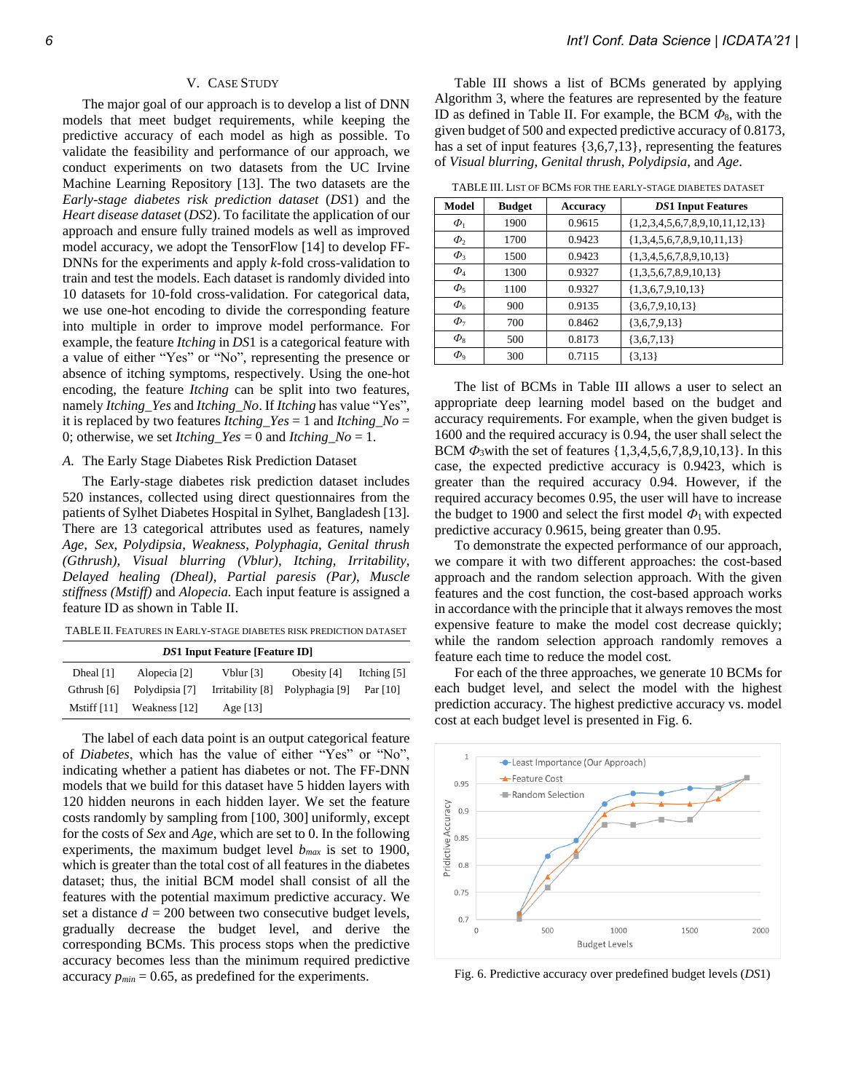## V. CASE STUDY

The major goal of our approach is to develop a list of DNN models that meet budget requirements, while keeping the predictive accuracy of each model as high as possible. To validate the feasibility and performance of our approach, we conduct experiments on two datasets from the UC Irvine Machine Learning Repository [13]. The two datasets are the *Early-stage diabetes risk prediction dataset* (*DS*1) and the *Heart disease dataset* (*DS*2). To facilitate the application of our approach and ensure fully trained models as well as improved model accuracy, we adopt the TensorFlow [14] to develop FF-DNNs for the experiments and apply *k*-fold cross-validation to train and test the models. Each dataset is randomly divided into 10 datasets for 10-fold cross-validation. For categorical data, we use one-hot encoding to divide the corresponding feature into multiple in order to improve model performance. For example, the feature *Itching* in *DS*1 is a categorical feature with a value of either "Yes" or "No", representing the presence or absence of itching symptoms, respectively. Using the one-hot encoding, the feature *Itching* can be split into two features, namely *Itching\_Yes* and *Itching\_No*. If *Itching* has value "Yes", it is replaced by two features *Itching Yes* = 1 and *Itching*  $No =$ 0; otherwise, we set *Itching*  $Yes = 0$  and *Itching*  $No = 1$ .

## *A.* The Early Stage Diabetes Risk Prediction Dataset

The Early-stage diabetes risk prediction dataset includes 520 instances, collected using direct questionnaires from the patients of Sylhet Diabetes Hospital in Sylhet, Bangladesh [13]. There are 13 categorical attributes used as features, namely *Age*, *Sex*, *Polydipsia*, *Weakness*, *Polyphagia*, *Genital thrush (Gthrush)*, *Visual blurring (Vblur)*, *Itching*, *Irritability*, *Delayed healing (Dheal)*, *Partial paresis (Par)*, *Muscle stiffness (Mstiff)* and *Alopecia.* Each input feature is assigned a feature ID as shown in Table II.

TABLE II. FEATURES IN EARLY-STAGE DIABETES RISK PREDICTION DATASET

| <b>DS1 Input Feature [Feature ID]</b> |                |                  |                |             |  |
|---------------------------------------|----------------|------------------|----------------|-------------|--|
| Dheal $[1]$                           | Alopecia [2]   | Vblur [3]        | Obesity [4]    | Itching [5] |  |
| Gthrush [6]                           | Polydipsia [7] | Irritability [8] | Polyphagia [9] | Par $[10]$  |  |
| Mstiff $[11]$                         | Weakness [12]  | Age $[13]$       |                |             |  |

The label of each data point is an output categorical feature of *Diabetes*, which has the value of either "Yes" or "No", indicating whether a patient has diabetes or not. The FF-DNN models that we build for this dataset have 5 hidden layers with 120 hidden neurons in each hidden layer. We set the feature costs randomly by sampling from [100, 300] uniformly, except for the costs of *Sex* and *Age*, which are set to 0. In the following experiments, the maximum budget level  $b_{max}$  is set to 1900, which is greater than the total cost of all features in the diabetes dataset; thus, the initial BCM model shall consist of all the features with the potential maximum predictive accuracy. We set a distance  $d = 200$  between two consecutive budget levels, gradually decrease the budget level, and derive the corresponding BCMs. This process stops when the predictive accuracy becomes less than the minimum required predictive accuracy  $p_{min} = 0.65$ , as predefined for the experiments.

Table III shows a list of BCMs generated by applying Algorithm 3, where the features are represented by the feature ID as defined in Table II. For example, the BCM *Ф*8, with the given budget of 500 and expected predictive accuracy of 0.8173, has a set of input features {3,6,7,13}, representing the features of *Visual blurring*, *Genital thrush*, *Polydipsia*, and *Age*.

TABLE III. LIST OF BCMS FOR THE EARLY-STAGE DIABETES DATASET

| Model                       | <b>Budget</b> | <b>Accuracy</b> | <b>DS1</b> Input Features           |
|-----------------------------|---------------|-----------------|-------------------------------------|
| $\Phi_1$                    | 1900          | 0.9615          | $\{1,2,3,4,5,6,7,8,9,10,11,12,13\}$ |
| $\Phi$                      | 1700          | 0.9423          | ${1,3,4,5,6,7,8,9,10,11,13}$        |
| $\Phi_3$                    | 1500          | 0.9423          | ${1,3,4,5,6,7,8,9,10,13}$           |
| $\varPhi_4$                 | 1300          | 0.9327          | ${1,3,5,6,7,8,9,10,13}$             |
| $\Phi_5$                    | 1100          | 0.9327          | ${1,3,6,7,9,10,13}$                 |
| $\Phi_{6}$                  | 900           | 0.9135          | ${3,6,7,9,10,13}$                   |
| $\Phi_7$                    | 700           | 0.8462          | ${3,6,7,9,13}$                      |
| $\phi_{8}$                  | 500           | 0.8173          | $\{3,6,7,13\}$                      |
| $\varPhi_{\text{\tiny{Q}}}$ | 300           | 0.7115          | $\{3,13\}$                          |

The list of BCMs in Table III allows a user to select an appropriate deep learning model based on the budget and accuracy requirements. For example, when the given budget is 1600 and the required accuracy is 0.94, the user shall select the BCM  $\Phi_3$  with the set of features {1,3,4,5,6,7,8,9,10,13}. In this case, the expected predictive accuracy is 0.9423, which is greater than the required accuracy 0.94. However, if the required accuracy becomes 0.95, the user will have to increase the budget to 1900 and select the first model  $\Phi_1$  with expected predictive accuracy 0.9615, being greater than 0.95.

To demonstrate the expected performance of our approach, we compare it with two different approaches: the cost-based approach and the random selection approach. With the given features and the cost function, the cost-based approach works in accordance with the principle that it always removes the most expensive feature to make the model cost decrease quickly; while the random selection approach randomly removes a feature each time to reduce the model cost.

For each of the three approaches, we generate 10 BCMs for each budget level, and select the model with the highest prediction accuracy. The highest predictive accuracy vs. model cost at each budget level is presented in Fig. 6.



Fig. 6. Predictive accuracy over predefined budget levels (*DS*1)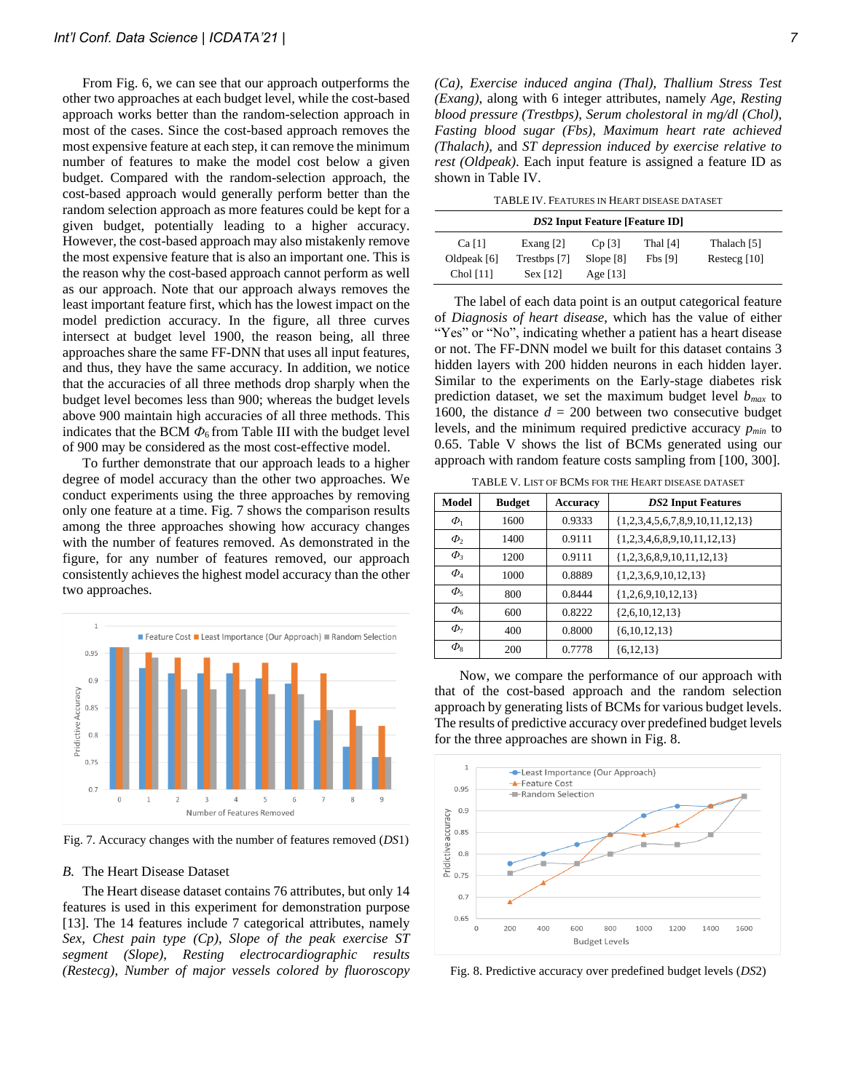From Fig. 6, we can see that our approach outperforms the other two approaches at each budget level, while the cost-based approach works better than the random-selection approach in most of the cases. Since the cost-based approach removes the most expensive feature at each step, it can remove the minimum number of features to make the model cost below a given budget. Compared with the random-selection approach, the cost-based approach would generally perform better than the random selection approach as more features could be kept for a given budget, potentially leading to a higher accuracy. However, the cost-based approach may also mistakenly remove the most expensive feature that is also an important one. This is the reason why the cost-based approach cannot perform as well as our approach. Note that our approach always removes the least important feature first, which has the lowest impact on the model prediction accuracy. In the figure, all three curves intersect at budget level 1900, the reason being, all three approaches share the same FF-DNN that uses all input features, and thus, they have the same accuracy. In addition, we notice that the accuracies of all three methods drop sharply when the budget level becomes less than 900; whereas the budget levels above 900 maintain high accuracies of all three methods. This indicates that the BCM  $\Phi_6$  from Table III with the budget level of 900 may be considered as the most cost-effective model.

To further demonstrate that our approach leads to a higher degree of model accuracy than the other two approaches. We conduct experiments using the three approaches by removing only one feature at a time. Fig. 7 shows the comparison results among the three approaches showing how accuracy changes with the number of features removed. As demonstrated in the figure, for any number of features removed, our approach consistently achieves the highest model accuracy than the other two approaches.



Fig. 7. Accuracy changes with the number of features removed (*DS*1)

#### *B.* The Heart Disease Dataset

The Heart disease dataset contains 76 attributes, but only 14 features is used in this experiment for demonstration purpose [13]. The 14 features include 7 categorical attributes, namely *Sex*, *Chest pain type (Cp)*, *Slope of the peak exercise ST segment (Slope)*, *Resting electrocardiographic results (Restecg)*, *Number of major vessels colored by fluoroscopy* 

*(Ca)*, *Exercise induced angina (Thal), Thallium Stress Test (Exang)*, along with 6 integer attributes, namely *Age*, *Resting blood pressure (Trestbps)*, *Serum cholestoral in mg/dl (Chol)*, *Fasting blood sugar (Fbs)*, *Maximum heart rate achieved (Thalach)*, and *ST depression induced by exercise relative to rest (Oldpeak)*. Each input feature is assigned a feature ID as shown in Table IV.

TABLE IV. FEATURES IN HEART DISEASE DATASET

| <b>DS2</b> Input Feature [Feature ID] |              |            |          |                |  |  |
|---------------------------------------|--------------|------------|----------|----------------|--|--|
| Ca <sub>[1]</sub>                     | Exang $[2]$  | $Cp$ [3]   | Thal [4] | Thalach [5]    |  |  |
| Oldpeak $[6]$                         | Trestbps [7] | Slope [8]  | Fbs [9]  | Restecg $[10]$ |  |  |
| Chol [11]                             | $Sex$ [12]   | Age $[13]$ |          |                |  |  |

The label of each data point is an output categorical feature of *Diagnosis of heart disease*, which has the value of either "Yes" or "No", indicating whether a patient has a heart disease or not. The FF-DNN model we built for this dataset contains 3 hidden layers with 200 hidden neurons in each hidden layer. Similar to the experiments on the Early-stage diabetes risk prediction dataset, we set the maximum budget level *bmax* to 1600, the distance  $d = 200$  between two consecutive budget levels, and the minimum required predictive accuracy *pmin* to 0.65. Table V shows the list of BCMs generated using our approach with random feature costs sampling from [100, 300].

|                                   |  | TABLE V. LIST OF BCMS FOR THE HEART DISEASE DATASET |  |      |  |  |
|-----------------------------------|--|-----------------------------------------------------|--|------|--|--|
| and the company of the company of |  |                                                     |  | ____ |  |  |

| Model         | <b>Budget</b> | Accuracy | <b>DS2</b> Input Features         |
|---------------|---------------|----------|-----------------------------------|
| $\Phi_1$      | 1600          | 0.9333   | ${1,2,3,4,5,6,7,8,9,10,11,12,13}$ |
| $\Phi$        | 1400          | 0.9111   | ${1,2,3,4,6,8,9,10,11,12,13}$     |
| $\Phi$        | 1200          | 0.9111   | ${1,2,3,6,8,9,10,11,12,13}$       |
| $\Phi_4$      | 1000          | 0.8889   | ${1,2,3,6,9,10,12,13}$            |
| $\Phi_{5}$    | 800           | 0.8444   | ${1,2,6,9,10,12,13}$              |
| $\Phi_{6}$    | 600           | 0.8222   | $\{2,6,10,12,13\}$                |
| $\Phi_7$      | 400           | 0.8000   | ${6,10,12,13}$                    |
| $\varPhi_{8}$ | 200           | 0.7778   | ${6,12,13}$                       |

Now, we compare the performance of our approach with that of the cost-based approach and the random selection approach by generating lists of BCMs for various budget levels. The results of predictive accuracy over predefined budget levels for the three approaches are shown in Fig. 8.



Fig. 8. Predictive accuracy over predefined budget levels (*DS*2)